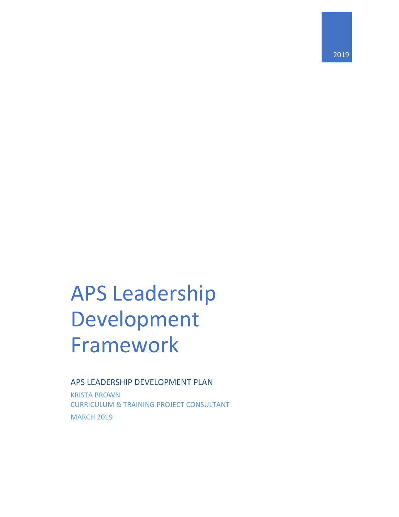# APS Leadership Development Framework

### APS LEADERSHIP DEVELOPMENT PLAN

KRISTA BROWN CURRICULUM & TRAINING PROJECT CONSULTANT MARCH 2019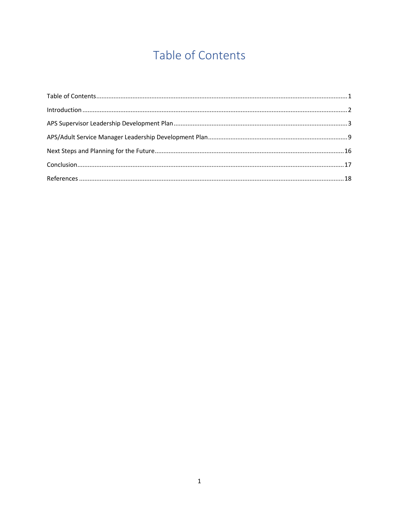# Table of Contents

<span id="page-1-0"></span>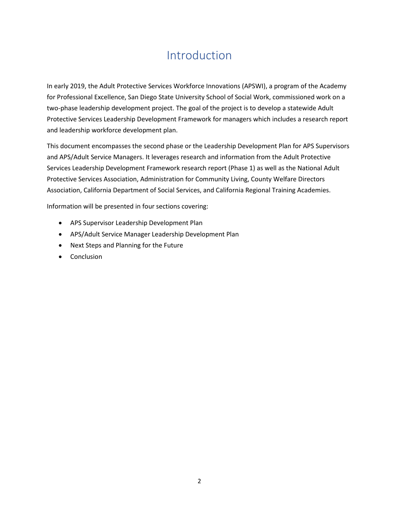# Introduction

<span id="page-2-0"></span>In early 2019, the Adult Protective Services Workforce Innovations (APSWI), a program of the Academy for Professional Excellence, San Diego State University School of Social Work, commissioned work on a two-phase leadership development project. The goal of the project is to develop a statewide Adult Protective Services Leadership Development Framework for managers which includes a research report and leadership workforce development plan.

This document encompasses the second phase or the Leadership Development Plan for APS Supervisors and APS/Adult Service Managers. It leverages research and information from the Adult Protective Services Leadership Development Framework research report (Phase 1) as well as the National Adult Protective Services Association, Administration for Community Living, County Welfare Directors Association, California Department of Social Services, and California Regional Training Academies.

Information will be presented in four sections covering:

- APS Supervisor Leadership Development Plan
- APS/Adult Service Manager Leadership Development Plan
- Next Steps and Planning for the Future
- Conclusion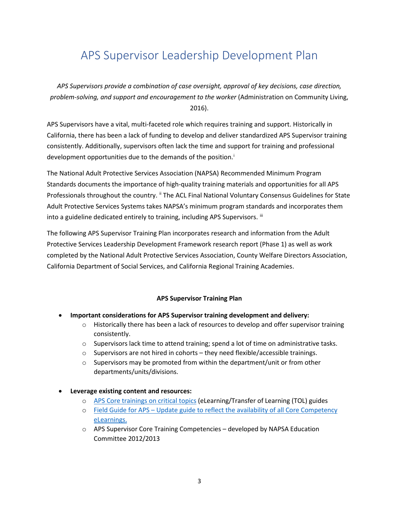# <span id="page-3-0"></span>APS Supervisor Leadership Development Plan

*APS Supervisors provide a combination of case oversight, approval of key decisions, case direction, problem-solving, and support and encouragement to the worker* (Administration on Community Living, 2016).

APS Supervisors have a vital, multi-faceted role which requires training and support. Historically in California, there has been a lack of funding to develop and deliver standardized APS Supervisor training consistently. Additionally, supervisors often lack the time and support for training and professional development opportun[i](#page-5-0)ties due to the demands of the position.<sup>i</sup>

The National Adult Protective Services Association (NAPSA) Recommended Minimum Program Standards documents the importance of high-quality training materials and opportunities for all APS Professionals throughout the country. " The ACL Final National Voluntary Consensus Guidelines for State Adult Protective Services Systems takes NAPSA's minimum program standards and incorporates them into a guideline dedicated entirely to training, including APS Supervisors.  $^{\text{iii}}$  $^{\text{iii}}$  $^{\text{iii}}$ 

The following APS Supervisor Training Plan incorporates research and information from the Adult Protective Services Leadership Development Framework research report (Phase 1) as well as work completed by the National Adult Protective Services Association, County Welfare Directors Association, California Department of Social Services, and California Regional Training Academies.

#### **APS Supervisor Training Plan**

- **Important considerations for APS Supervisor training development and delivery:**
	- $\circ$  Historically there has been a lack of resources to develop and offer supervisor training consistently.
	- $\circ$  Supervisors lack time to attend training; spend a lot of time on administrative tasks.
	- $\circ$  Supervisors are not hired in cohorts they need flexible/accessible trainings.
	- o Supervisors may be promoted from within the department/unit or from other departments/units/divisions.

#### • **Leverage existing content and resources:**

- o [APS Core trainings on critical topics](https://theacademy.sdsu.edu/programs/apswi/apswi-elearning/) (eLearning/Transfer of Learning (TOL) guides
- o [Field Guide for APS](https://theacademy.sdsu.edu/programs/apswi/field-guide-for-aps/) Update guide to reflect the availability of all Core Competency eLearnings.
- $\circ$  APS Supervisor Core Training Competencies developed by NAPSA Education Committee 2012/2013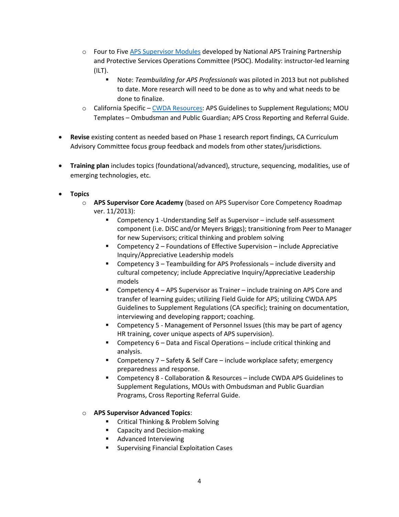- $\circ$  Four to Fiv[e APS Supervisor Modules](https://theacademy.sdsu.edu/programs/apswi/supervisor-training/) developed by National APS Training Partnership and Protective Services Operations Committee (PSOC). Modality: instructor-led learning (ILT).
	- Note: *Teambuilding for APS Professionals* was piloted in 2013 but not published to date. More research will need to be done as to why and what needs to be done to finalize.
- $\circ$  California Specific [CWDA Resources:](https://www.cwda.org/adult-protective-services) APS Guidelines to Supplement Regulations; MOU Templates – Ombudsman and Public Guardian; APS Cross Reporting and Referral Guide.
- **Revise** existing content as needed based on Phase 1 research report findings, CA Curriculum Advisory Committee focus group feedback and models from other states/jurisdictions.
- **Training plan** includes topics (foundational/advanced), structure, sequencing, modalities, use of emerging technologies, etc.
- **Topics**
	- o **APS Supervisor Core Academy** (based on APS Supervisor Core Competency Roadmap ver. 11/2013):
		- Competency 1 -Understanding Self as Supervisor include self-assessment component (i.e. DiSC and/or Meyers Briggs); transitioning from Peer to Manager for new Supervisors; critical thinking and problem solving
		- Competency 2 Foundations of Effective Supervision include Appreciative Inquiry/Appreciative Leadership models
		- Competency 3 Teambuilding for APS Professionals include diversity and cultural competency; include Appreciative Inquiry/Appreciative Leadership models
		- Competency 4 APS Supervisor as Trainer include training on APS Core and transfer of learning guides; utilizing Field Guide for APS; utilizing CWDA APS Guidelines to Supplement Regulations (CA specific); training on documentation, interviewing and developing rapport; coaching.
		- Competency 5 Management of Personnel Issues (this may be part of agency HR training, cover unique aspects of APS supervision).
		- Competency 6 Data and Fiscal Operations include critical thinking and analysis.
		- Competency 7 Safety & Self Care include workplace safety; emergency preparedness and response.
		- Competency 8 Collaboration & Resources include CWDA APS Guidelines to Supplement Regulations, MOUs with Ombudsman and Public Guardian Programs, Cross Reporting Referral Guide.

#### o **APS Supervisor Advanced Topics**:

- Critical Thinking & Problem Solving
- **EXEC** Capacity and Decision-making
- Advanced Interviewing
- **Supervising Financial Exploitation Cases**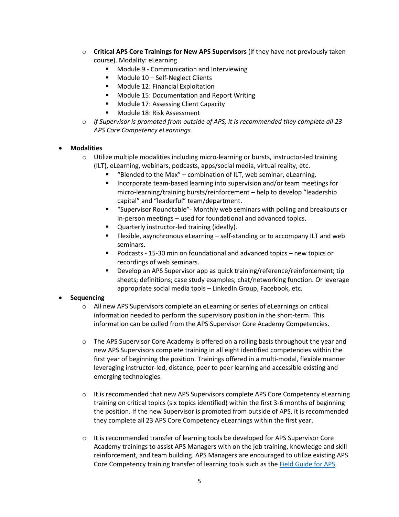- <span id="page-5-0"></span>o **Critical APS Core Trainings for New APS Supervisors** (if they have not previously taken course). Modality: eLearning
	- Module 9 Communication and Interviewing
	- **Module 10 Self-Neglect Clients**
	- **Module 12: Financial Exploitation**
	- **Module 15: Documentation and Report Writing**
	- **Module 17: Assessing Client Capacity**
	- Module 18: Risk Assessment
- o *If Supervisor is promoted from outside of APS, it is recommended they complete all 23 APS Core Competency eLearnings.*

#### <span id="page-5-2"></span><span id="page-5-1"></span>• **Modalities**

- o Utilize multiple modalities including micro-learning or bursts, instructor-led training (ILT), eLearning, webinars, podcasts, apps/social media, virtual reality, etc.
	- "Blended to the Max" combination of ILT, web seminar, eLearning.
	- **Incorporate team-based learning into supervision and/or team meetings for** micro-learning/training bursts/reinforcement – help to develop "leadership capital" and "leaderful" team/department.
	- "Supervisor Roundtable"- Monthly web seminars with polling and breakouts or in-person meetings – used for foundational and advanced topics.
	- Quarterly instructor-led training (ideally).
	- Flexible, asynchronous eLearning self-standing or to accompany ILT and web seminars.
	- Podcasts 15-30 min on foundational and advanced topics new topics or recordings of web seminars.
	- Develop an APS Supervisor app as quick training/reference/reinforcement; tip sheets; definitions; case study examples; chat/networking function. Or leverage appropriate social media tools – LinkedIn Group, Facebook, etc.

#### <span id="page-5-3"></span>• **Sequencing**

- o All new APS Supervisors complete an eLearning or series of eLearnings on critical information needed to perform the supervisory position in the short-term. This information can be culled from the APS Supervisor Core Academy Competencies.
- o The APS Supervisor Core Academy is offered on a rolling basis throughout the year and new APS Supervisors complete training in all eight identified competencies within the first year of beginning the position. Trainings offered in a multi-modal, flexible manner leveraging instructor-led, distance, peer to peer learning and accessible existing and emerging technologies.
- $\circ$  It is recommended that new APS Supervisors complete APS Core Competency eLearning training on critical topics (six topics identified) within the first 3-6 months of beginning the position. If the new Supervisor is promoted from outside of APS, it is recommended they complete all 23 APS Core Competency eLearnings within the first year.
- $\circ$  It is recommended transfer of learning tools be developed for APS Supervisor Core Academy trainings to assist APS Managers with on the job training, knowledge and skill reinforcement, and team building. APS Managers are encouraged to utilize existing APS Core Competency training transfer of learning tools such as the [Field Guide for APS.](https://theacademy.sdsu.edu/programs/apswi/field-guide-for-aps/)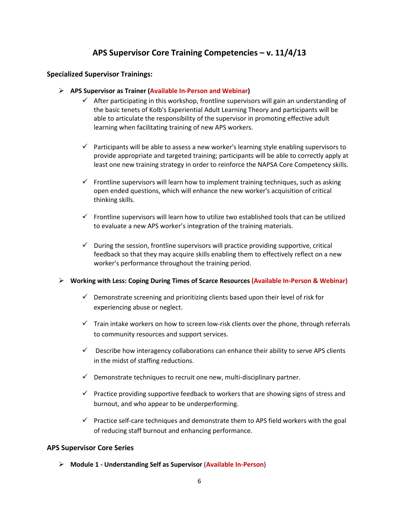### **APS Supervisor Core Training Competencies – v. 11/4/13**

#### **Specialized Supervisor Trainings:**

- **APS Supervisor as Trainer (Available In-Person and Webinar)**
	- $\checkmark$  After participating in this workshop, frontline supervisors will gain an understanding of the basic tenets of Kolb's Experiential Adult Learning Theory and participants will be able to articulate the responsibility of the supervisor in promoting effective adult learning when facilitating training of new APS workers.
	- $\checkmark$  Participants will be able to assess a new worker's learning style enabling supervisors to provide appropriate and targeted training; participants will be able to correctly apply at least one new training strategy in order to reinforce the NAPSA Core Competency skills.
	- $\checkmark$  Frontline supervisors will learn how to implement training techniques, such as asking open ended questions, which will enhance the new worker's acquisition of critical thinking skills.
	- $\checkmark$  Frontline supervisors will learn how to utilize two established tools that can be utilized to evaluate a new APS worker's integration of the training materials.
	- $\checkmark$  During the session, frontline supervisors will practice providing supportive, critical feedback so that they may acquire skills enabling them to effectively reflect on a new worker's performance throughout the training period.

#### **Working with Less: Coping During Times of Scarce Resources (Available In-Person & Webinar)**

- $\checkmark$  Demonstrate screening and prioritizing clients based upon their level of risk for experiencing abuse or neglect.
- $\checkmark$  Train intake workers on how to screen low-risk clients over the phone, through referrals to community resources and support services.
- $\checkmark$  Describe how interagency collaborations can enhance their ability to serve APS clients in the midst of staffing reductions.
- $\checkmark$  Demonstrate techniques to recruit one new, multi-disciplinary partner.
- $\checkmark$  Practice providing supportive feedback to workers that are showing signs of stress and burnout, and who appear to be underperforming.
- $\checkmark$  Practice self-care techniques and demonstrate them to APS field workers with the goal of reducing staff burnout and enhancing performance.

#### **APS Supervisor Core Series**

**Module 1 - Understanding Self as Supervisor (Available In-Person)**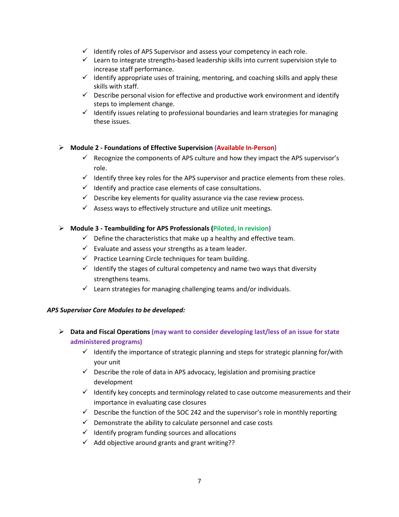- $\checkmark$  Identify roles of APS Supervisor and assess your competency in each role.
- $\checkmark$  Learn to integrate strengths-based leadership skills into current supervision style to increase staff performance.
- $\checkmark$  Identify appropriate uses of training, mentoring, and coaching skills and apply these skills with staff.
- $\checkmark$  Describe personal vision for effective and productive work environment and identify steps to implement change.
- $\checkmark$  Identify issues relating to professional boundaries and learn strategies for managing these issues.

#### **Module 2 - Foundations of Effective Supervision (Available In-Person)**

- $\checkmark$  Recognize the components of APS culture and how they impact the APS supervisor's role.
- $\checkmark$  Identify three key roles for the APS supervisor and practice elements from these roles.
- $\checkmark$  Identify and practice case elements of case consultations.
- $\checkmark$  Describe key elements for quality assurance via the case review process.
- $\checkmark$  Assess ways to effectively structure and utilize unit meetings.

#### **Module 3 - Teambuilding for APS Professionals (Piloted, in revision)**

- $\checkmark$  Define the characteristics that make up a healthy and effective team.
- $\checkmark$  Evaluate and assess your strengths as a team leader.
- $\checkmark$  Practice Learning Circle techniques for team building.
- $\checkmark$  Identify the stages of cultural competency and name two ways that diversity strengthens teams.
- $\checkmark$  Learn strategies for managing challenging teams and/or individuals.

#### *APS Supervisor Core Modules to be developed:*

- **Data and Fiscal Operations (may want to consider developing last/less of an issue for state administered programs)**
	- $\checkmark$  Identify the importance of strategic planning and steps for strategic planning for/with your unit
	- $\checkmark$  Describe the role of data in APS advocacy, legislation and promising practice development
	- $\checkmark$  Identify key concepts and terminology related to case outcome measurements and their importance in evaluating case closures
	- $\checkmark$  Describe the function of the SOC 242 and the supervisor's role in monthly reporting
	- $\checkmark$  Demonstrate the ability to calculate personnel and case costs
	- $\checkmark$  Identify program funding sources and allocations
	- $\checkmark$  Add objective around grants and grant writing??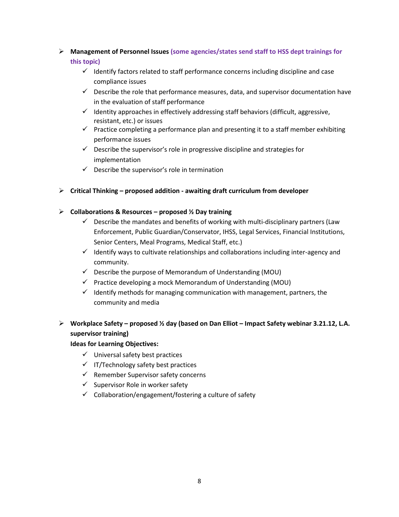### **Management of Personnel Issues (some agencies/states send staff to HSS dept trainings for this topic)**

- $\checkmark$  Identify factors related to staff performance concerns including discipline and case compliance issues
- $\checkmark$  Describe the role that performance measures, data, and supervisor documentation have in the evaluation of staff performance
- $\checkmark$  Identity approaches in effectively addressing staff behaviors (difficult, aggressive, resistant, etc.) or issues
- $\checkmark$  Practice completing a performance plan and presenting it to a staff member exhibiting performance issues
- $\checkmark$  Describe the supervisor's role in progressive discipline and strategies for implementation
- $\checkmark$  Describe the supervisor's role in termination

#### **Critical Thinking – proposed addition - awaiting draft curriculum from developer**

#### **Collaborations & Resources – proposed ½ Day training**

- $\checkmark$  Describe the mandates and benefits of working with multi-disciplinary partners (Law Enforcement, Public Guardian/Conservator, IHSS, Legal Services, Financial Institutions, Senior Centers, Meal Programs, Medical Staff, etc.)
- $\checkmark$  Identify ways to cultivate relationships and collaborations including inter-agency and community.
- $\checkmark$  Describe the purpose of Memorandum of Understanding (MOU)
- $\checkmark$  Practice developing a mock Memorandum of Understanding (MOU)
- $\checkmark$  Identify methods for managing communication with management, partners, the community and media

### **Workplace Safety – proposed ½ day (based on Dan Elliot – Impact Safety webinar 3.21.12, L.A. supervisor training)**

#### **Ideas for Learning Objectives:**

- $\checkmark$  Universal safety best practices
- $\checkmark$  IT/Technology safety best practices
- $\checkmark$  Remember Supervisor safety concerns
- $\checkmark$  Supervisor Role in worker safety
- $\checkmark$  Collaboration/engagement/fostering a culture of safety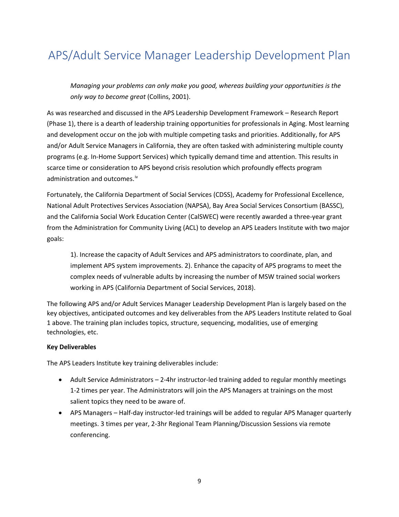# <span id="page-9-0"></span>APS/Adult Service Manager Leadership Development Plan

*Managing your problems can only make you good, whereas building your opportunities is the only way to become great* (Collins, 2001).

As was researched and discussed in the APS Leadership Development Framework – Research Report (Phase 1), there is a dearth of leadership training opportunities for professionals in Aging. Most learning and development occur on the job with multiple competing tasks and priorities. Additionally, for APS and/or Adult Service Managers in California, they are often tasked with administering multiple county programs (e.g. In-Home Support Services) which typically demand time and attention. This results in scarce time or consideration to APS beyond crisis resolution which profoundly effects program administration and outcomes.<sup>[iv](#page-5-3)</sup>

Fortunately, the California Department of Social Services (CDSS), Academy for Professional Excellence, National Adult Protectives Services Association (NAPSA), Bay Area Social Services Consortium (BASSC), and the California Social Work Education Center (CalSWEC) were recently awarded a three-year grant from the Administration for Community Living (ACL) to develop an APS Leaders Institute with two major goals:

1). Increase the capacity of Adult Services and APS administrators to coordinate, plan, and implement APS system improvements. 2). Enhance the capacity of APS programs to meet the complex needs of vulnerable adults by increasing the number of MSW trained social workers working in APS (California Department of Social Services, 2018).

The following APS and/or Adult Services Manager Leadership Development Plan is largely based on the key objectives, anticipated outcomes and key deliverables from the APS Leaders Institute related to Goal 1 above. The training plan includes topics, structure, sequencing, modalities, use of emerging technologies, etc.

#### **Key Deliverables**

The APS Leaders Institute key training deliverables include:

- Adult Service Administrators 2-4hr instructor-led training added to regular monthly meetings 1-2 times per year. The Administrators will join the APS Managers at trainings on the most salient topics they need to be aware of.
- APS Managers Half-day instructor-led trainings will be added to regular APS Manager quarterly meetings. 3 times per year, 2-3hr Regional Team Planning/Discussion Sessions via remote conferencing.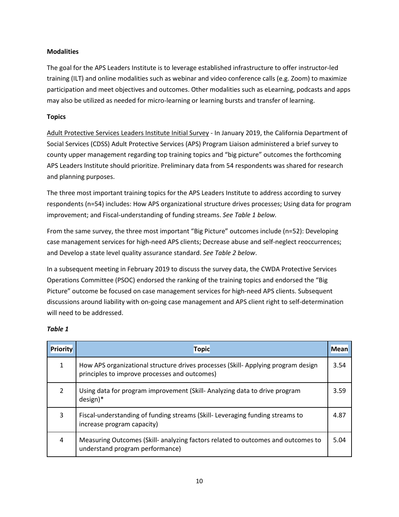#### **Modalities**

The goal for the APS Leaders Institute is to leverage established infrastructure to offer instructor-led training (ILT) and online modalities such as webinar and video conference calls (e.g. Zoom) to maximize participation and meet objectives and outcomes. Other modalities such as eLearning, podcasts and apps may also be utilized as needed for micro-learning or learning bursts and transfer of learning.

#### **Topics**

Adult Protective Services Leaders Institute Initial Survey - In January 2019, the California Department of Social Services (CDSS) Adult Protective Services (APS) Program Liaison administered a brief survey to county upper management regarding top training topics and "big picture" outcomes the forthcoming APS Leaders Institute should prioritize. Preliminary data from 54 respondents was shared for research and planning purposes.

The three most important training topics for the APS Leaders Institute to address according to survey respondents (n=54) includes: How APS organizational structure drives processes; Using data for program improvement; and Fiscal-understanding of funding streams. *See Table 1 below.*

From the same survey, the three most important "Big Picture" outcomes include (n=52): Developing case management services for high-need APS clients; Decrease abuse and self-neglect reoccurrences; and Develop a state level quality assurance standard. *See Table 2 below*.

In a subsequent meeting in February 2019 to discuss the survey data, the CWDA Protective Services Operations Committee (PSOC) endorsed the ranking of the training topics and endorsed the "Big Picture" outcome be focused on case management services for high-need APS clients. Subsequent discussions around liability with on-going case management and APS client right to self-determination will need to be addressed.

#### *Table 1*

| <b>Priority</b> | <b>Topic</b>                                                                                                                      |      |
|-----------------|-----------------------------------------------------------------------------------------------------------------------------------|------|
|                 | How APS organizational structure drives processes (Skill-Applying program design<br>principles to improve processes and outcomes) | 3.54 |
| $\mathcal{P}$   | Using data for program improvement (Skill-Analyzing data to drive program<br>$design)*$                                           |      |
| 3               | Fiscal-understanding of funding streams (Skill-Leveraging funding streams to<br>increase program capacity)                        |      |
| 4               | Measuring Outcomes (Skill- analyzing factors related to outcomes and outcomes to<br>understand program performance)               | 5.04 |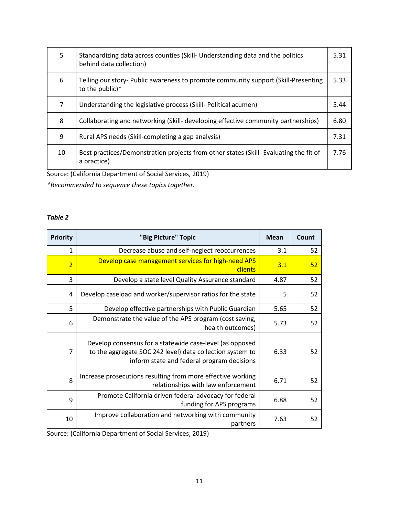| 5  | Standardizing data across counties (Skill- Understanding data and the politics<br>behind data collection) |  |
|----|-----------------------------------------------------------------------------------------------------------|--|
| 6  | Telling our story- Public awareness to promote community support (Skill-Presenting<br>to the public)*     |  |
| 7  | Understanding the legislative process (Skill- Political acumen)                                           |  |
| 8  | Collaborating and networking (Skill- developing effective community partnerships)                         |  |
| 9  | Rural APS needs (Skill-completing a gap analysis)                                                         |  |
| 10 | Best practices/Demonstration projects from other states (Skill- Evaluating the fit of<br>a practice)      |  |

Source: (California Department of Social Services, 2019)

*\*Recommended to sequence these topics together.*

#### *Table 2*

| <b>Priority</b> | "Big Picture" Topic                                                                                                                                                 | <b>Mean</b> | Count |
|-----------------|---------------------------------------------------------------------------------------------------------------------------------------------------------------------|-------------|-------|
| 1               | Decrease abuse and self-neglect reoccurrences                                                                                                                       | 3.1         | 52    |
| $\overline{2}$  | Develop case management services for high-need APS<br>clients                                                                                                       | 3.1         | 52    |
| 3               | Develop a state level Quality Assurance standard                                                                                                                    | 4.87        | 52    |
| 4               | Develop caseload and worker/supervisor ratios for the state                                                                                                         | 5           | 52    |
| 5               | Develop effective partnerships with Public Guardian                                                                                                                 | 5.65        | 52    |
| 6               | Demonstrate the value of the APS program (cost saving,<br>health outcomes)                                                                                          | 5.73        | 52    |
| $\overline{7}$  | Develop consensus for a statewide case-level (as opposed<br>to the aggregate SOC 242 level) data collection system to<br>inform state and federal program decisions | 6.33        | 52    |
| 8               | Increase prosecutions resulting from more effective working<br>relationships with law enforcement                                                                   | 6.71        | 52    |
| 9               | Promote California driven federal advocacy for federal<br>funding for APS programs                                                                                  | 6.88        | 52    |
| 10              | Improve collaboration and networking with community<br>partners                                                                                                     | 7.63        | 52    |

Source: (California Department of Social Services, 2019)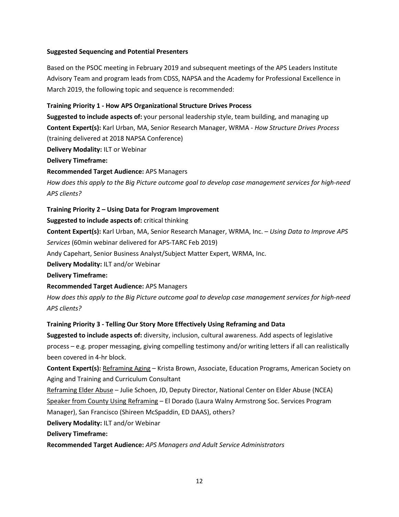#### **Suggested Sequencing and Potential Presenters**

Based on the PSOC meeting in February 2019 and subsequent meetings of the APS Leaders Institute Advisory Team and program leads from CDSS, NAPSA and the Academy for Professional Excellence in March 2019, the following topic and sequence is recommended:

#### **Training Priority 1 - How APS Organizational Structure Drives Process**

**Suggested to include aspects of:** your personal leadership style, team building, and managing up **Content Expert(s):** Karl Urban, MA, Senior Research Manager, WRMA - *How Structure Drives Process* (training delivered at 2018 NAPSA Conference)

**Delivery Modality:** ILT or Webinar

**Delivery Timeframe:**

**Recommended Target Audience:** APS Managers

*How does this apply to the Big Picture outcome goal to develop case management services for high-need APS clients?*

#### **Training Priority 2 – Using Data for Program Improvement**

**Suggested to include aspects of:** critical thinking

**Content Expert(s):** Karl Urban, MA, Senior Research Manager, WRMA, Inc. – *Using Data to Improve APS Services* (60min webinar delivered for APS-TARC Feb 2019)

Andy Capehart, Senior Business Analyst/Subject Matter Expert, WRMA, Inc.

**Delivery Modality:** ILT and/or Webinar

**Delivery Timeframe:**

**Recommended Target Audience:** APS Managers

*How does this apply to the Big Picture outcome goal to develop case management services for high-need APS clients?*

#### **Training Priority 3 - Telling Our Story More Effectively Using Reframing and Data**

**Suggested to include aspects of:** diversity, inclusion, cultural awareness. Add aspects of legislative process – e.g. proper messaging, giving compelling testimony and/or writing letters if all can realistically been covered in 4-hr block.

**Content Expert(s):** Reframing Aging – Krista Brown, Associate, Education Programs, American Society on Aging and Training and Curriculum Consultant

Reframing Elder Abuse – Julie Schoen, JD, Deputy Director, National Center on Elder Abuse (NCEA) Speaker from County Using Reframing – El Dorado (Laura Walny Armstrong Soc. Services Program Manager), San Francisco (Shireen McSpaddin, ED DAAS), others?

**Delivery Modality:** ILT and/or Webinar

**Delivery Timeframe:**

**Recommended Target Audience:** *APS Managers and Adult Service Administrators*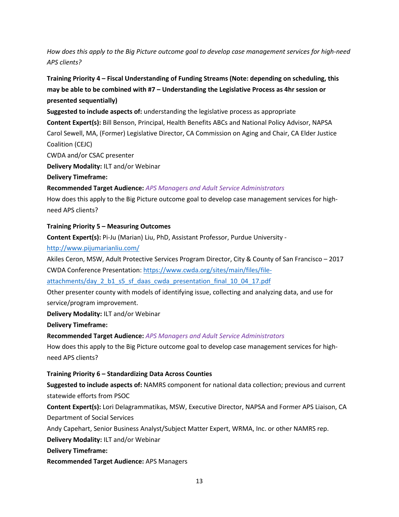### *How does this apply to the Big Picture outcome goal to develop case management services for high-need APS clients?*

### **Training Priority 4 – Fiscal Understanding of Funding Streams (Note: depending on scheduling, this may be able to be combined with #7 – Understanding the Legislative Process as 4hr session or presented sequentially)**

**Suggested to include aspects of:** understanding the legislative process as appropriate

**Content Expert(s):** Bill Benson, Principal, Health Benefits ABCs and National Policy Advisor, NAPSA Carol Sewell, MA, (Former) Legislative Director, CA Commission on Aging and Chair, CA Elder Justice Coalition (CEJC)

CWDA and/or CSAC presenter

**Delivery Modality:** ILT and/or Webinar

**Delivery Timeframe:**

#### **Recommended Target Audience:** *APS Managers and Adult Service Administrators*

How does this apply to the Big Picture outcome goal to develop case management services for highneed APS clients?

#### **Training Priority 5 – Measuring Outcomes**

**Content Expert(s):** Pi-Ju (Marian) Liu, PhD, Assistant Professor, Purdue University -

#### <http://www.pijumarianliu.com/>

Akiles Ceron, MSW, Adult Protective Services Program Director, City & County of San Francisco – 2017 CWDA Conference Presentation: [https://www.cwda.org/sites/main/files/file-](https://www.cwda.org/sites/main/files/file-attachments/day_2_b1_s5_sf_daas_cwda_presentation_final_10_04_17.pdf)

[attachments/day\\_2\\_b1\\_s5\\_sf\\_daas\\_cwda\\_presentation\\_final\\_10\\_04\\_17.pdf](https://www.cwda.org/sites/main/files/file-attachments/day_2_b1_s5_sf_daas_cwda_presentation_final_10_04_17.pdf)

Other presenter county with models of identifying issue, collecting and analyzing data, and use for service/program improvement.

**Delivery Modality:** ILT and/or Webinar

**Delivery Timeframe:**

**Recommended Target Audience:** *APS Managers and Adult Service Administrators*

How does this apply to the Big Picture outcome goal to develop case management services for highneed APS clients?

#### **Training Priority 6 – Standardizing Data Across Counties**

**Suggested to include aspects of:** NAMRS component for national data collection; previous and current statewide efforts from PSOC

**Content Expert(s):** Lori Delagrammatikas, MSW, Executive Director, NAPSA and Former APS Liaison, CA Department of Social Services

Andy Capehart, Senior Business Analyst/Subject Matter Expert, WRMA, Inc. or other NAMRS rep.

**Delivery Modality:** ILT and/or Webinar

**Delivery Timeframe:**

**Recommended Target Audience:** APS Managers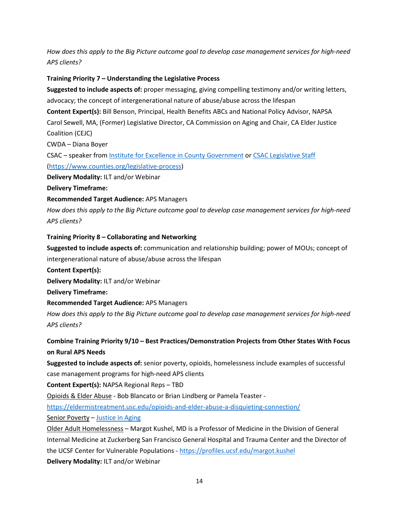*How does this apply to the Big Picture outcome goal to develop case management services for high-need APS clients?*

#### **Training Priority 7 – Understanding the Legislative Process**

**Suggested to include aspects of:** proper messaging, giving compelling testimony and/or writing letters, advocacy; the concept of intergenerational nature of abuse/abuse across the lifespan

**Content Expert(s):** Bill Benson, Principal, Health Benefits ABCs and National Policy Advisor, NAPSA Carol Sewell, MA, (Former) Legislative Director, CA Commission on Aging and Chair, CA Elder Justice Coalition (CEJC)

CWDA – Diana Boyer

CSAC – speaker fro[m Institute for Excellence in County Government](https://csac.imiscloud.com/CSACInstitute) o[r CSAC Legislative Staff](https://www.counties.org/legislative-staff) [\(https://www.counties.org/legislative-process\)](https://www.counties.org/legislative-process)

**Delivery Modality:** ILT and/or Webinar

**Delivery Timeframe:**

**Recommended Target Audience:** APS Managers

*How does this apply to the Big Picture outcome goal to develop case management services for high-need APS clients?*

#### **Training Priority 8 – Collaborating and Networking**

**Suggested to include aspects of:** communication and relationship building; power of MOUs; concept of intergenerational nature of abuse/abuse across the lifespan

**Content Expert(s):** 

**Delivery Modality:** ILT and/or Webinar

**Delivery Timeframe:**

**Recommended Target Audience:** APS Managers

*How does this apply to the Big Picture outcome goal to develop case management services for high-need APS clients?*

**Combine Training Priority 9/10 – Best Practices/Demonstration Projects from Other States With Focus on Rural APS Needs** 

**Suggested to include aspects of:** senior poverty, opioids, homelessness include examples of successful case management programs for high-need APS clients

**Content Expert(s):** NAPSA Regional Reps – TBD

Opioids & Elder Abuse - Bob Blancato or Brian Lindberg or Pamela Teaster -

<https://eldermistreatment.usc.edu/opioids-and-elder-abuse-a-disquieting-connection/>

Senior Poverty – [Justice in Aging](http://www.justiceinaging.org/)

Older Adult Homelessness – Margot Kushel, MD is a Professor of Medicine in the Division of General Internal Medicine at Zuckerberg San Francisco General Hospital and Trauma Center and the Director of the UCSF Center for Vulnerable Populations - <https://profiles.ucsf.edu/margot.kushel> **Delivery Modality:** ILT and/or Webinar

14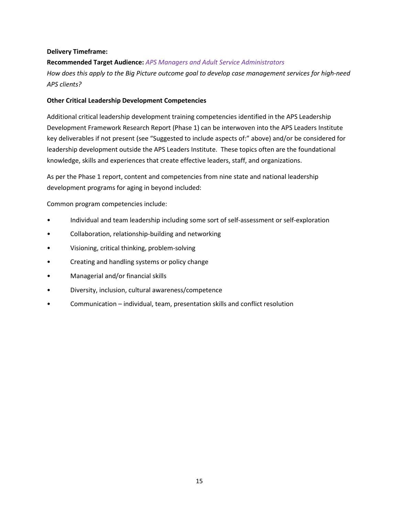#### **Delivery Timeframe:**

**Recommended Target Audience:** *APS Managers and Adult Service Administrators How does this apply to the Big Picture outcome goal to develop case management services for high-need APS clients?*

#### **Other Critical Leadership Development Competencies**

Additional critical leadership development training competencies identified in the APS Leadership Development Framework Research Report (Phase 1) can be interwoven into the APS Leaders Institute key deliverables if not present (see "Suggested to include aspects of:" above) and/or be considered for leadership development outside the APS Leaders Institute. These topics often are the foundational knowledge, skills and experiences that create effective leaders, staff, and organizations.

As per the Phase 1 report, content and competencies from nine state and national leadership development programs for aging in beyond included:

Common program competencies include:

- Individual and team leadership including some sort of self-assessment or self-exploration
- Collaboration, relationship-building and networking
- Visioning, critical thinking, problem-solving
- Creating and handling systems or policy change
- Managerial and/or financial skills
- Diversity, inclusion, cultural awareness/competence
- Communication individual, team, presentation skills and conflict resolution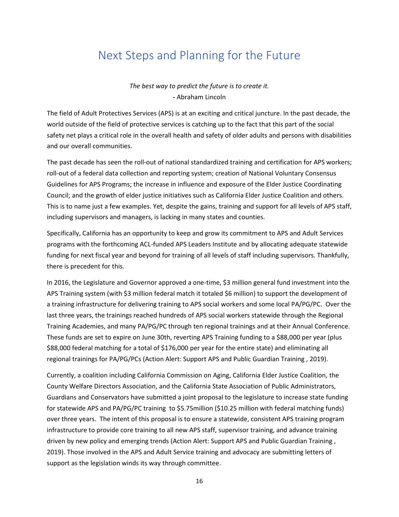# <span id="page-16-0"></span>Next Steps and Planning for the Future

*The best way to predict the future is to create it.* **-** Abraham Lincoln

The field of Adult Protectives Services (APS) is at an exciting and critical juncture. In the past decade, the world outside of the field of protective services is catching up to the fact that this part of the social safety net plays a critical role in the overall health and safety of older adults and persons with disabilities and our overall communities.

The past decade has seen the roll-out of national standardized training and certification for APS workers; roll-out of a federal data collection and reporting system; creation of National Voluntary Consensus Guidelines for APS Programs; the increase in influence and exposure of the Elder Justice Coordinating Council; and the growth of elder justice initiatives such as California Elder Justice Coalition and others. This is to name just a few examples. Yet, despite the gains, training and support for all levels of APS staff, including supervisors and managers, is lacking in many states and counties.

Specifically, California has an opportunity to keep and grow its commitment to APS and Adult Services programs with the forthcoming ACL-funded APS Leaders Institute and by allocating adequate statewide funding for next fiscal year and beyond for training of all levels of staff including supervisors. Thankfully, there is precedent for this.

In 2016, the Legislature and Governor approved a one-time, \$3 million general fund investment into the APS Training system (with \$3 million federal match it totaled \$6 million) to support the development of a training infrastructure for delivering training to APS social workers and some local PA/PG/PC. Over the last three years, the trainings reached hundreds of APS social workers statewide through the Regional Training Academies, and many PA/PG/PC through ten regional trainings and at their Annual Conference. These funds are set to expire on June 30th, reverting APS Training funding to a \$88,000 per year (plus \$88,000 federal matching for a total of \$176,000 per year for the entire state) and eliminating all regional trainings for PA/PG/PCs (Action Alert: Support APS and Public Guardian Training , 2019).

Currently, a coalition including California Commission on Aging, California Elder Justice Coalition, the County Welfare Directors Association, and the California State Association of Public Administrators, Guardians and Conservators have submitted a joint proposal to the legislature to increase state funding for statewide APS and PA/PG/PC training to \$5.75million (\$10.25 million with federal matching funds) over three years. The intent of this proposal is to ensure a statewide, consistent APS training program infrastructure to provide core training to all new APS staff, supervisor training, and advance training driven by new policy and emerging trends (Action Alert: Support APS and Public Guardian Training , 2019). Those involved in the APS and Adult Service training and advocacy are submitting letters of support as the legislation winds its way through committee.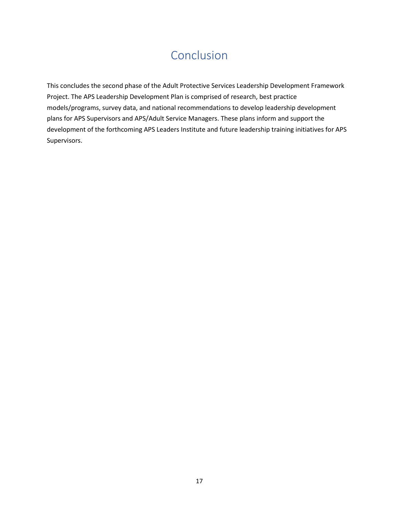# Conclusion

<span id="page-17-0"></span>This concludes the second phase of the Adult Protective Services Leadership Development Framework Project. The APS Leadership Development Plan is comprised of research, best practice models/programs, survey data, and national recommendations to develop leadership development plans for APS Supervisors and APS/Adult Service Managers. These plans inform and support the development of the forthcoming APS Leaders Institute and future leadership training initiatives for APS Supervisors.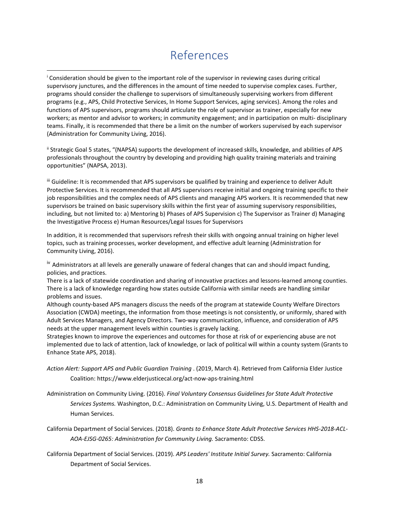### References

<span id="page-18-0"></span> $\overline{a}$ 

ii Strategic Goal 5 states, "(NAPSA) supports the development of increased skills, knowledge, and abilities of APS professionals throughout the country by developing and providing high quality training materials and training opportunities" (NAPSA, 2013).

iii Guideline: It is recommended that APS supervisors be qualified by training and experience to deliver Adult Protective Services. It is recommended that all APS supervisors receive initial and ongoing training specific to their job responsibilities and the complex needs of APS clients and managing APS workers. It is recommended that new supervisors be trained on basic supervisory skills within the first year of assuming supervisory responsibilities, including, but not limited to: a) Mentoring b) Phases of APS Supervision c) The Supervisor as Trainer d) Managing the Investigative Process e) Human Resources/Legal Issues for Supervisors

In addition, it is recommended that supervisors refresh their skills with ongoing annual training on higher level topics, such as training processes, worker development, and effective adult learning (Administration for Community Living, 2016).

<sup>iv</sup> Administrators at all levels are generally unaware of federal changes that can and should impact funding, policies, and practices.

There is a lack of statewide coordination and sharing of innovative practices and lessons-learned among counties. There is a lack of knowledge regarding how states outside California with similar needs are handling similar problems and issues.

Although county-based APS managers discuss the needs of the program at statewide County Welfare Directors Association (CWDA) meetings, the information from those meetings is not consistently, or uniformly, shared with Adult Services Managers, and Agency Directors. Two-way communication, influence, and consideration of APS needs at the upper management levels within counties is gravely lacking.

Strategies known to improve the experiences and outcomes for those at risk of or experiencing abuse are not implemented due to lack of attention, lack of knowledge, or lack of political will within a county system (Grants to Enhance State APS, 2018).

```
Action Alert: Support APS and Public Guardian Training . (2019, March 4). Retrieved from California Elder Justice 
Coalition: https://www.elderjusticecal.org/act-now-aps-training.html
```
Administration on Community Living. (2016). *Final Voluntary Consensus Guidelines for State Adult Protective Services Systems.* Washington, D.C.: Administration on Community Living, U.S. Department of Health and Human Services.

California Department of Social Services. (2018). *Grants to Enhance State Adult Protective Services HHS-2018-ACL-AOA-EJSG-0265: Administration for Community Living.* Sacramento: CDSS.

California Department of Social Services. (2019). *APS Leaders' Institute Initial Survey.* Sacramento: California Department of Social Services.

<sup>i</sup> Consideration should be given to the important role of the supervisor in reviewing cases during critical supervisory junctures, and the differences in the amount of time needed to supervise complex cases. Further, programs should consider the challenge to supervisors of simultaneously supervising workers from different programs (e.g., APS, Child Protective Services, In Home Support Services, aging services). Among the roles and functions of APS supervisors, programs should articulate the role of supervisor as trainer, especially for new workers; as mentor and advisor to workers; in community engagement; and in participation on multi- disciplinary teams. Finally, it is recommended that there be a limit on the number of workers supervised by each supervisor (Administration for Community Living, 2016).